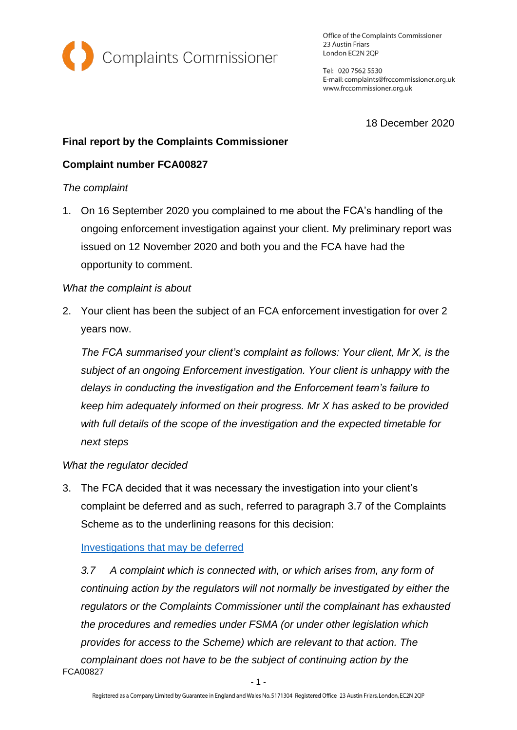

Office of the Complaints Commissioner 23 Austin Friars London EC2N 2QP

Tel: 020 7562 5530 E-mail: complaints@frccommissioner.org.uk www.frccommissioner.org.uk

18 December 2020

# **Final report by the Complaints Commissioner**

## **Complaint number FCA00827**

#### *The complaint*

1. On 16 September 2020 you complained to me about the FCA's handling of the ongoing enforcement investigation against your client. My preliminary report was issued on 12 November 2020 and both you and the FCA have had the opportunity to comment.

#### *What the complaint is about*

2. Your client has been the subject of an FCA enforcement investigation for over 2 years now.

*The FCA summarised your client's complaint as follows: Your client, Mr X, is the subject of an ongoing Enforcement investigation. Your client is unhappy with the delays in conducting the investigation and the Enforcement team's failure to keep him adequately informed on their progress. Mr X has asked to be provided with full details of the scope of the investigation and the expected timetable for next steps* 

### *What the regulator decided*

3. The FCA decided that it was necessary the investigation into your client's complaint be deferred and as such, referred to paragraph 3.7 of the Complaints Scheme as to the underlining reasons for this decision:

### [Investigations that may be deferred](https://frccommissioner.org.uk/complaints-scheme/)

FCA00827 *3.7 A complaint which is connected with, or which arises from, any form of continuing action by the regulators will not normally be investigated by either the regulators or the Complaints Commissioner until the complainant has exhausted the procedures and remedies under FSMA (or under other legislation which provides for access to the Scheme) which are relevant to that action. The complainant does not have to be the subject of continuing action by the*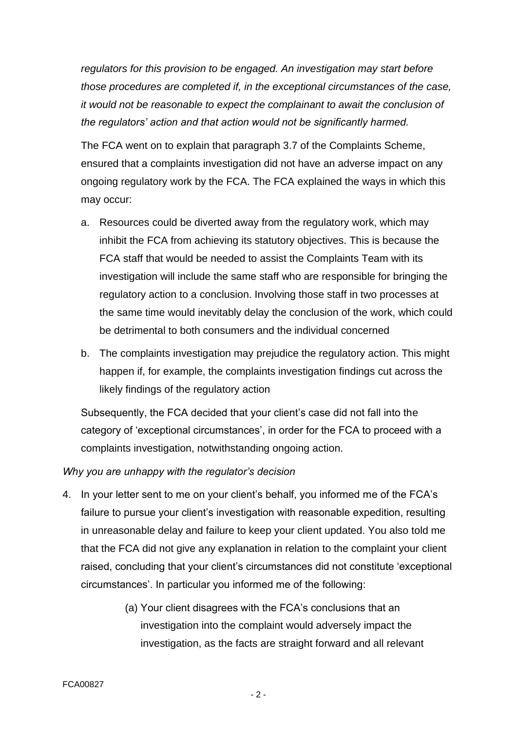*regulators for this provision to be engaged. An investigation may start before those procedures are completed if, in the exceptional circumstances of the case, it would not be reasonable to expect the complainant to await the conclusion of the regulators' action and that action would not be significantly harmed.*

The FCA went on to explain that paragraph 3.7 of the Complaints Scheme, ensured that a complaints investigation did not have an adverse impact on any ongoing regulatory work by the FCA. The FCA explained the ways in which this may occur:

- a. Resources could be diverted away from the regulatory work, which may inhibit the FCA from achieving its statutory objectives. This is because the FCA staff that would be needed to assist the Complaints Team with its investigation will include the same staff who are responsible for bringing the regulatory action to a conclusion. Involving those staff in two processes at the same time would inevitably delay the conclusion of the work, which could be detrimental to both consumers and the individual concerned
- b. The complaints investigation may prejudice the regulatory action. This might happen if, for example, the complaints investigation findings cut across the likely findings of the regulatory action

Subsequently, the FCA decided that your client's case did not fall into the category of 'exceptional circumstances', in order for the FCA to proceed with a complaints investigation, notwithstanding ongoing action.

### *Why you are unhappy with the regulator's decision*

- 4. In your letter sent to me on your client's behalf, you informed me of the FCA's failure to pursue your client's investigation with reasonable expedition, resulting in unreasonable delay and failure to keep your client updated. You also told me that the FCA did not give any explanation in relation to the complaint your client raised, concluding that your client's circumstances did not constitute 'exceptional circumstances'. In particular you informed me of the following:
	- (a) Your client disagrees with the FCA's conclusions that an investigation into the complaint would adversely impact the investigation, as the facts are straight forward and all relevant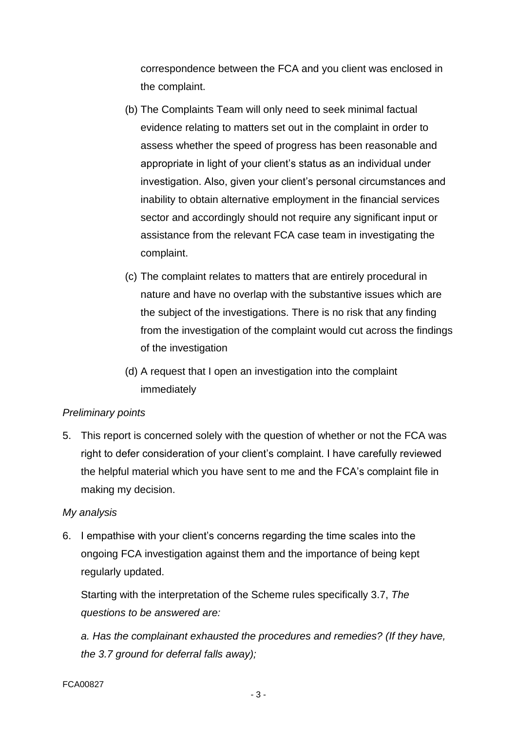correspondence between the FCA and you client was enclosed in the complaint.

- (b) The Complaints Team will only need to seek minimal factual evidence relating to matters set out in the complaint in order to assess whether the speed of progress has been reasonable and appropriate in light of your client's status as an individual under investigation. Also, given your client's personal circumstances and inability to obtain alternative employment in the financial services sector and accordingly should not require any significant input or assistance from the relevant FCA case team in investigating the complaint.
- (c) The complaint relates to matters that are entirely procedural in nature and have no overlap with the substantive issues which are the subject of the investigations. There is no risk that any finding from the investigation of the complaint would cut across the findings of the investigation
- (d) A request that I open an investigation into the complaint immediately

### *Preliminary points*

5. This report is concerned solely with the question of whether or not the FCA was right to defer consideration of your client's complaint. I have carefully reviewed the helpful material which you have sent to me and the FCA's complaint file in making my decision.

### *My analysis*

6. I empathise with your client's concerns regarding the time scales into the ongoing FCA investigation against them and the importance of being kept regularly updated.

Starting with the interpretation of the Scheme rules specifically 3.7, *The questions to be answered are:*

*a. Has the complainant exhausted the procedures and remedies? (If they have, the 3.7 ground for deferral falls away);*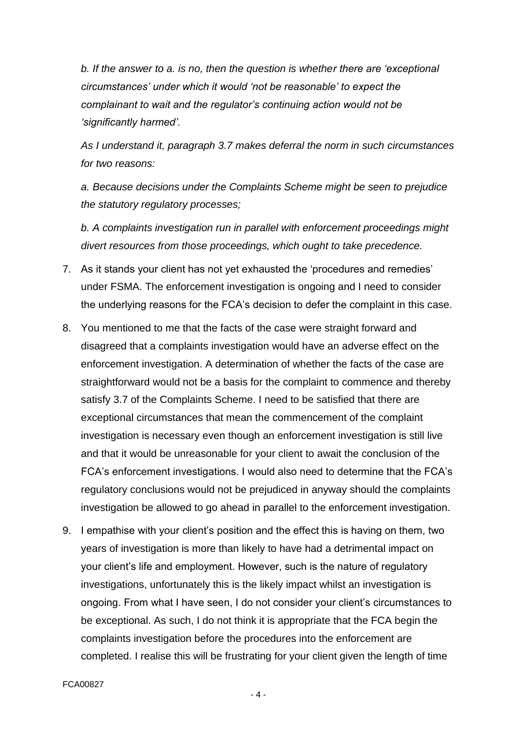*b. If the answer to a. is no, then the question is whether there are 'exceptional circumstances' under which it would 'not be reasonable' to expect the complainant to wait and the regulator's continuing action would not be 'significantly harmed'.*

*As I understand it, paragraph 3.7 makes deferral the norm in such circumstances for two reasons:*

*a. Because decisions under the Complaints Scheme might be seen to prejudice the statutory regulatory processes;*

*b. A complaints investigation run in parallel with enforcement proceedings might divert resources from those proceedings, which ought to take precedence.*

- 7. As it stands your client has not yet exhausted the 'procedures and remedies' under FSMA. The enforcement investigation is ongoing and I need to consider the underlying reasons for the FCA's decision to defer the complaint in this case.
- 8. You mentioned to me that the facts of the case were straight forward and disagreed that a complaints investigation would have an adverse effect on the enforcement investigation. A determination of whether the facts of the case are straightforward would not be a basis for the complaint to commence and thereby satisfy 3.7 of the Complaints Scheme. I need to be satisfied that there are exceptional circumstances that mean the commencement of the complaint investigation is necessary even though an enforcement investigation is still live and that it would be unreasonable for your client to await the conclusion of the FCA's enforcement investigations. I would also need to determine that the FCA's regulatory conclusions would not be prejudiced in anyway should the complaints investigation be allowed to go ahead in parallel to the enforcement investigation.
- 9. I empathise with your client's position and the effect this is having on them, two years of investigation is more than likely to have had a detrimental impact on your client's life and employment. However, such is the nature of regulatory investigations, unfortunately this is the likely impact whilst an investigation is ongoing. From what I have seen, I do not consider your client's circumstances to be exceptional. As such, I do not think it is appropriate that the FCA begin the complaints investigation before the procedures into the enforcement are completed. I realise this will be frustrating for your client given the length of time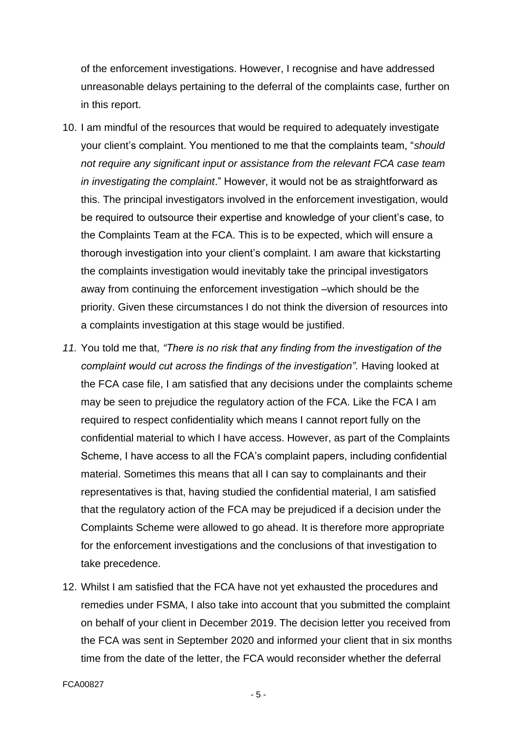of the enforcement investigations. However, I recognise and have addressed unreasonable delays pertaining to the deferral of the complaints case, further on in this report.

- 10. I am mindful of the resources that would be required to adequately investigate your client's complaint. You mentioned to me that the complaints team, "*should not require any significant input or assistance from the relevant FCA case team in investigating the complaint*." However, it would not be as straightforward as this. The principal investigators involved in the enforcement investigation, would be required to outsource their expertise and knowledge of your client's case, to the Complaints Team at the FCA. This is to be expected, which will ensure a thorough investigation into your client's complaint. I am aware that kickstarting the complaints investigation would inevitably take the principal investigators away from continuing the enforcement investigation –which should be the priority. Given these circumstances I do not think the diversion of resources into a complaints investigation at this stage would be justified.
- *11.* You told me that, *"There is no risk that any finding from the investigation of the complaint would cut across the findings of the investigation".* Having looked at the FCA case file, I am satisfied that any decisions under the complaints scheme may be seen to prejudice the regulatory action of the FCA. Like the FCA I am required to respect confidentiality which means I cannot report fully on the confidential material to which I have access. However, as part of the Complaints Scheme, I have access to all the FCA's complaint papers, including confidential material. Sometimes this means that all I can say to complainants and their representatives is that, having studied the confidential material, I am satisfied that the regulatory action of the FCA may be prejudiced if a decision under the Complaints Scheme were allowed to go ahead. It is therefore more appropriate for the enforcement investigations and the conclusions of that investigation to take precedence.
- 12. Whilst I am satisfied that the FCA have not yet exhausted the procedures and remedies under FSMA, I also take into account that you submitted the complaint on behalf of your client in December 2019. The decision letter you received from the FCA was sent in September 2020 and informed your client that in six months time from the date of the letter, the FCA would reconsider whether the deferral